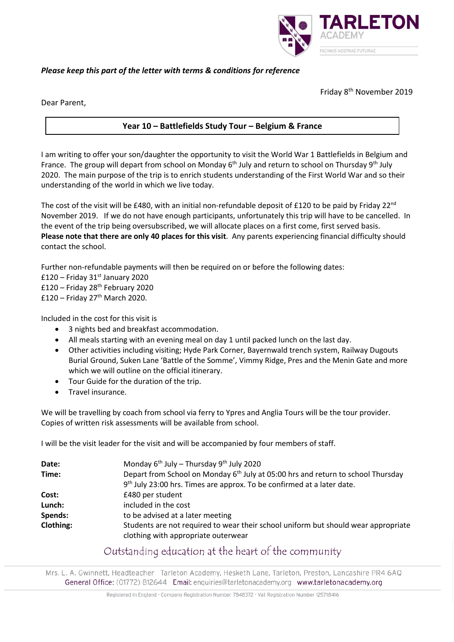

# *Please keep this part of the letter with terms & conditions for reference*

Friday 8th November 2019

Dear Parent,

# **Year 10 – Battlefields Study Tour – Belgium & France**

I am writing to offer your son/daughter the opportunity to visit the World War 1 Battlefields in Belgium and France. The group will depart from school on Monday  $6<sup>th</sup>$  July and return to school on Thursday 9<sup>th</sup> July 2020. The main purpose of the trip is to enrich students understanding of the First World War and so their understanding of the world in which we live today.

The cost of the visit will be £480, with an initial non-refundable deposit of £120 to be paid by Friday 22<sup>nd</sup> November 2019. If we do not have enough participants, unfortunately this trip will have to be cancelled. In the event of the trip being oversubscribed, we will allocate places on a first come, first served basis. **Please note that there are only 40 places for this visit**. Any parents experiencing financial difficulty should contact the school.

Further non-refundable payments will then be required on or before the following dates:

 $£120 - Friday 31<sup>st</sup> January 2020$  $£120 - Friday 28<sup>th</sup> February 2020$  $£120 - Friday 27<sup>th</sup> March 2020.$ 

Included in the cost for this visit is

- 3 nights bed and breakfast accommodation.
- All meals starting with an evening meal on day 1 until packed lunch on the last day.
- Other activities including visiting; Hyde Park Corner, Bayernwald trench system, Railway Dugouts Burial Ground, Suken Lane 'Battle of the Somme', Vimmy Ridge, Pres and the Menin Gate and more which we will outline on the official itinerary.
- Tour Guide for the duration of the trip.
- Travel insurance.

We will be travelling by coach from school via ferry to Ypres and Anglia Tours will be the tour provider. Copies of written risk assessments will be available from school.

I will be the visit leader for the visit and will be accompanied by four members of staff.

| Date:     | Monday $6^{th}$ July – Thursday $9^{th}$ July 2020                                                                        |
|-----------|---------------------------------------------------------------------------------------------------------------------------|
| Time:     | Depart from School on Monday 6 <sup>th</sup> July at 05:00 hrs and return to school Thursday                              |
|           | 9 <sup>th</sup> July 23:00 hrs. Times are approx. To be confirmed at a later date.                                        |
| Cost:     | £480 per student                                                                                                          |
| Lunch:    | included in the cost                                                                                                      |
| Spends:   | to be advised at a later meeting                                                                                          |
| Clothing: | Students are not required to wear their school uniform but should wear appropriate<br>clothing with appropriate outerwear |

# Outstanding education at the heart of the community

Mrs. L. A. Gwinnett, Headteacher Tarleton Academy, Hesketh Lane, Tarleton, Preston, Lancashire PR4 6AQ General Office: (01772) 812644 Email: enguiries@tarletonacademy.org www.tarletonacademy.org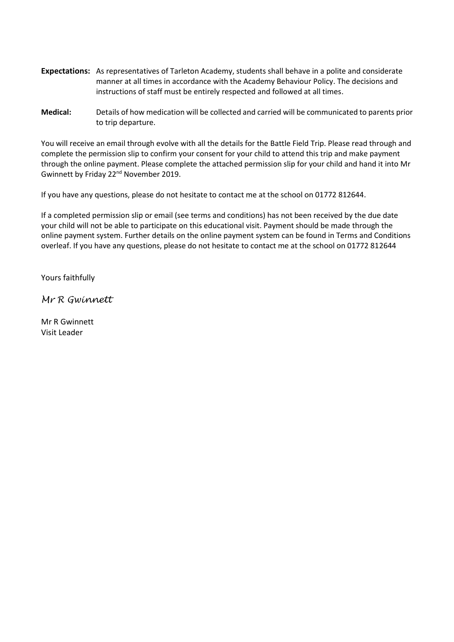- **Expectations:** As representatives of Tarleton Academy, students shall behave in a polite and considerate manner at all times in accordance with the Academy Behaviour Policy. The decisions and instructions of staff must be entirely respected and followed at all times.
- **Medical:** Details of how medication will be collected and carried will be communicated to parents prior to trip departure.

You will receive an email through evolve with all the details for the Battle Field Trip. Please read through and complete the permission slip to confirm your consent for your child to attend this trip and make payment through the online payment. Please complete the attached permission slip for your child and hand it into Mr Gwinnett by Friday 22<sup>nd</sup> November 2019.

If you have any questions, please do not hesitate to contact me at the school on 01772 812644.

If a completed permission slip or email (see terms and conditions) has not been received by the due date your child will not be able to participate on this educational visit. Payment should be made through the online payment system. Further details on the online payment system can be found in Terms and Conditions overleaf. If you have any questions, please do not hesitate to contact me at the school on 01772 812644

Yours faithfully

*Mr R Gwinnett*

Mr R Gwinnett Visit Leader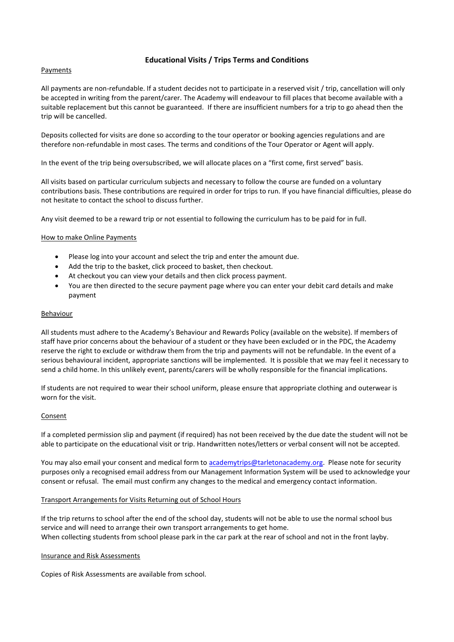## **Educational Visits / Trips Terms and Conditions**

#### **Payments**

All payments are non-refundable. If a student decides not to participate in a reserved visit / trip, cancellation will only be accepted in writing from the parent/carer. The Academy will endeavour to fill places that become available with a suitable replacement but this cannot be guaranteed. If there are insufficient numbers for a trip to go ahead then the trip will be cancelled.

Deposits collected for visits are done so according to the tour operator or booking agencies regulations and are therefore non-refundable in most cases. The terms and conditions of the Tour Operator or Agent will apply.

In the event of the trip being oversubscribed, we will allocate places on a "first come, first served" basis.

All visits based on particular curriculum subjects and necessary to follow the course are funded on a voluntary contributions basis. These contributions are required in order for trips to run. If you have financial difficulties, please do not hesitate to contact the school to discuss further.

Any visit deemed to be a reward trip or not essential to following the curriculum has to be paid for in full.

#### How to make Online Payments

- Please log into your account and select the trip and enter the amount due.
- Add the trip to the basket, click proceed to basket, then checkout.
- At checkout you can view your details and then click process payment.
- You are then directed to the secure payment page where you can enter your debit card details and make payment

#### Behaviour

All students must adhere to the Academy's Behaviour and Rewards Policy (available on the website). If members of staff have prior concerns about the behaviour of a student or they have been excluded or in the PDC, the Academy reserve the right to exclude or withdraw them from the trip and payments will not be refundable. In the event of a serious behavioural incident, appropriate sanctions will be implemented. It is possible that we may feel it necessary to send a child home. In this unlikely event, parents/carers will be wholly responsible for the financial implications.

If students are not required to wear their school uniform, please ensure that appropriate clothing and outerwear is worn for the visit.

#### **Consent**

If a completed permission slip and payment (if required) has not been received by the due date the student will not be able to participate on the educational visit or trip. Handwritten notes/letters or verbal consent will not be accepted.

You may also email your consent and medical form to [academytrips@tarletonacademy.org.](mailto:academytrips@tarletonacademy.org) Please note for security purposes only a recognised email address from our Management Information System will be used to acknowledge your consent or refusal. The email must confirm any changes to the medical and emergency contact information.

#### Transport Arrangements for Visits Returning out of School Hours

If the trip returns to school after the end of the school day, students will not be able to use the normal school bus service and will need to arrange their own transport arrangements to get home. When collecting students from school please park in the car park at the rear of school and not in the front layby.

#### Insurance and Risk Assessments

Copies of Risk Assessments are available from school.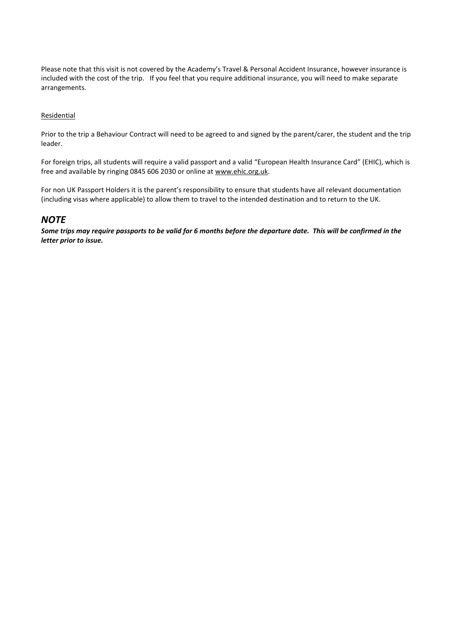Please note that this visit is not covered by the Academy's Travel & Personal Accident Insurance, however insurance is included with the cost of the trip. If you feel that you require additional insurance, you will need to make separate arrangements.

#### Residential

Prior to the trip a Behaviour Contract will need to be agreed to and signed by the parent/carer, the student and the trip leader.

For foreign trips, all students will require a valid passport and a valid "European Health Insurance Card" (EHIC), which is free and available by ringing 0845 606 2030 or online at [www.ehic.org.uk.](http://www.ehic.org.uk/)

For non UK Passport Holders it is the parent's responsibility to ensure that students have all relevant documentation (including visas where applicable) to allow them to travel to the intended destination and to return to the UK.

# *NOTE*

*Some trips may require passports to be valid for 6 months before the departure date. This will be confirmed in the letter prior to issue.*